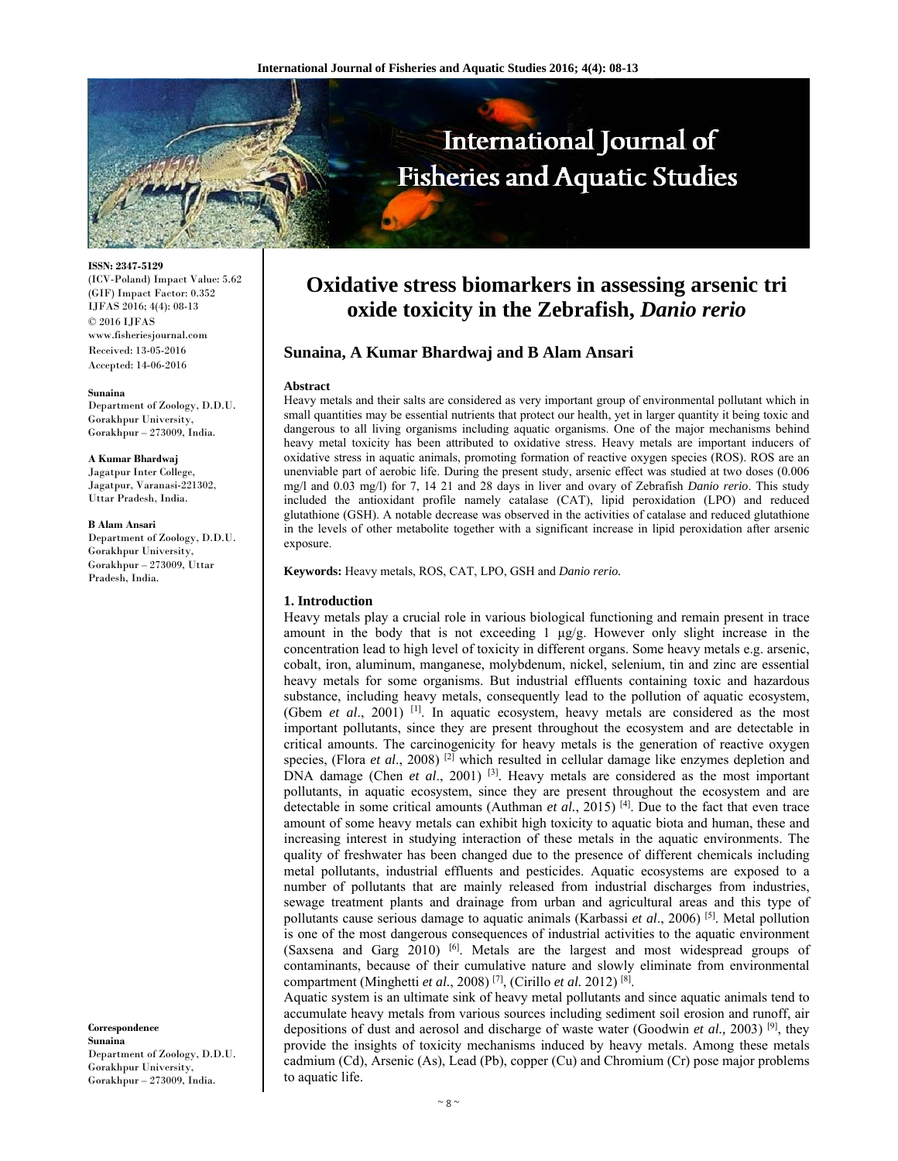

**ISSN: 2347-5129** 

(ICV-Poland) Impact Value: 5.62 (GIF) Impact Factor: 0.352 IJFAS 2016; 4(4): 08-13 © 2016 IJFAS www.fisheriesjournal.com Received: 13-05-2016 Accepted: 14-06-2016

#### **Sunaina**

Department of Zoology, D.D.U. Gorakhpur University, Gorakhpur – 273009, India.

#### **A Kumar Bhardwaj**

Jagatpur Inter College, Jagatpur, Varanasi-221302, Uttar Pradesh, India.

#### **B Alam Ansari**

Department of Zoology, D.D.U. Gorakhpur University, Gorakhpur – 273009, Uttar Pradesh, India.

**Correspondence Sunaina**  Department of Zoology, D.D.U. Gorakhpur University, Gorakhpur – 273009, India.

# **Oxidative stress biomarkers in assessing arsenic tri oxide toxicity in the Zebrafish,** *Danio rerio*

# **Sunaina, A Kumar Bhardwaj and B Alam Ansari**

#### **Abstract**

Heavy metals and their salts are considered as very important group of environmental pollutant which in small quantities may be essential nutrients that protect our health, yet in larger quantity it being toxic and dangerous to all living organisms including aquatic organisms. One of the major mechanisms behind heavy metal toxicity has been attributed to oxidative stress. Heavy metals are important inducers of oxidative stress in aquatic animals, promoting formation of reactive oxygen species (ROS). ROS are an unenviable part of aerobic life. During the present study, arsenic effect was studied at two doses (0.006 mg/l and 0.03 mg/l) for 7, 14 21 and 28 days in liver and ovary of Zebrafish *Danio rerio*. This study included the antioxidant profile namely catalase (CAT), lipid peroxidation (LPO) and reduced glutathione (GSH). A notable decrease was observed in the activities of catalase and reduced glutathione in the levels of other metabolite together with a significant increase in lipid peroxidation after arsenic exposure.

**Keywords:** Heavy metals, ROS, CAT, LPO, GSH and *Danio rerio.*

## **1. Introduction**

Heavy metals play a crucial role in various biological functioning and remain present in trace amount in the body that is not exceeding 1  $\mu$ g/g. However only slight increase in the concentration lead to high level of toxicity in different organs. Some heavy metals e.g. arsenic, cobalt, iron, aluminum, manganese, molybdenum, nickel, selenium, tin and zinc are essential heavy metals for some organisms. But industrial effluents containing toxic and hazardous substance, including heavy metals, consequently lead to the pollution of aquatic ecosystem, (Gbem *et al*., 2001) [1]. In aquatic ecosystem, heavy metals are considered as the most important pollutants, since they are present throughout the ecosystem and are detectable in critical amounts. The carcinogenicity for heavy metals is the generation of reactive oxygen species, (Flora *et al.*, 2008)<sup>[2]</sup> which resulted in cellular damage like enzymes depletion and DNA damage (Chen *et al.*, 2001) <sup>[3]</sup>. Heavy metals are considered as the most important pollutants, in aquatic ecosystem, since they are present throughout the ecosystem and are detectable in some critical amounts (Authman *et al.*, 2015)<sup>[4]</sup>. Due to the fact that even trace amount of some heavy metals can exhibit high toxicity to aquatic biota and human, these and increasing interest in studying interaction of these metals in the aquatic environments. The quality of freshwater has been changed due to the presence of different chemicals including metal pollutants, industrial effluents and pesticides. Aquatic ecosystems are exposed to a number of pollutants that are mainly released from industrial discharges from industries, sewage treatment plants and drainage from urban and agricultural areas and this type of pollutants cause serious damage to aquatic animals (Karbassi *et al*., 2006) [5]. Metal pollution is one of the most dangerous consequences of industrial activities to the aquatic environment (Saxsena and Garg 2010)  $[6]$ . Metals are the largest and most widespread groups of contaminants, because of their cumulative nature and slowly eliminate from environmental compartment (Minghetti *et al.*, 2008) [7], (Cirillo *et al.* 2012) [8].

Aquatic system is an ultimate sink of heavy metal pollutants and since aquatic animals tend to accumulate heavy metals from various sources including sediment soil erosion and runoff, air depositions of dust and aerosol and discharge of waste water (Goodwin *et al.,* 2003) [9], they provide the insights of toxicity mechanisms induced by heavy metals. Among these metals cadmium (Cd), Arsenic (As), Lead (Pb), copper (Cu) and Chromium (Cr) pose major problems to aquatic life.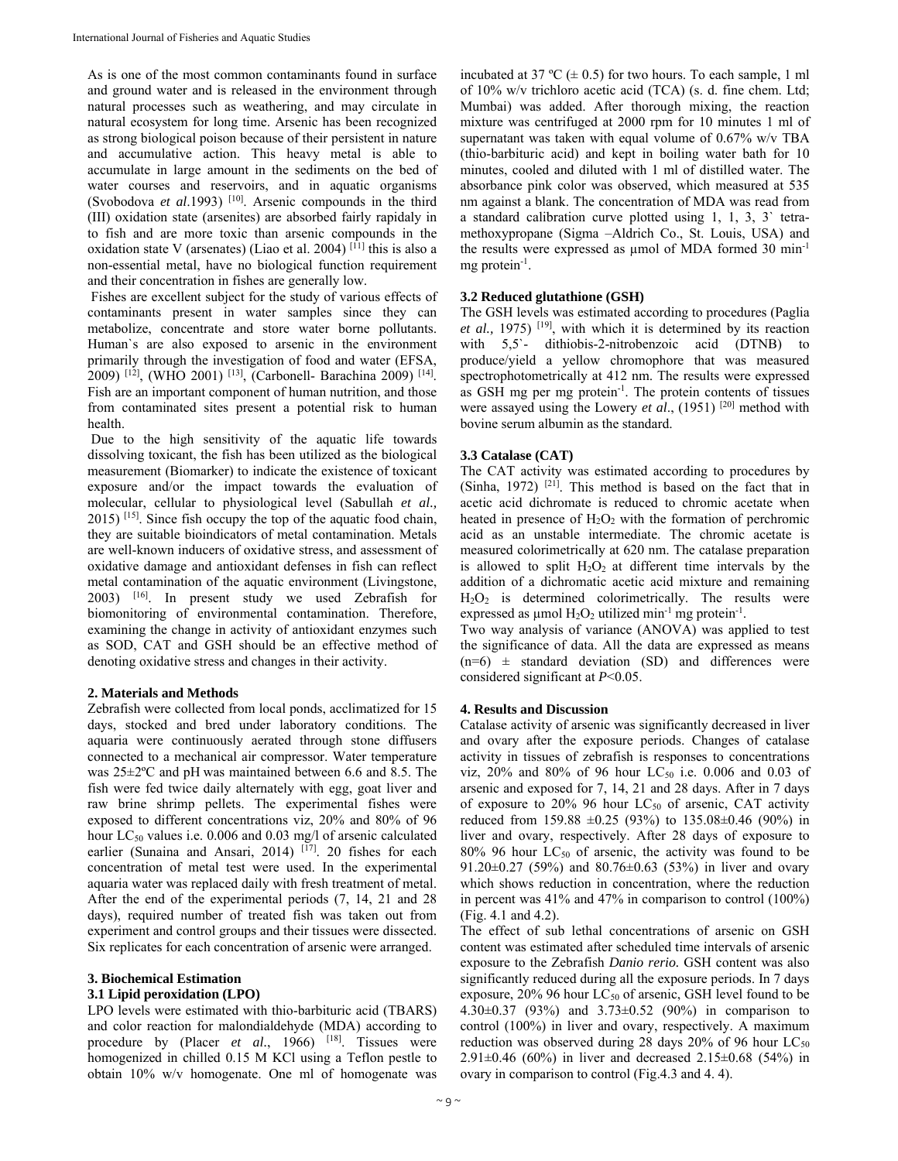As is one of the most common contaminants found in surface and ground water and is released in the environment through natural processes such as weathering, and may circulate in natural ecosystem for long time. Arsenic has been recognized as strong biological poison because of their persistent in nature and accumulative action. This heavy metal is able to accumulate in large amount in the sediments on the bed of water courses and reservoirs, and in aquatic organisms (Svobodova *et al*.1993) [10]. Arsenic compounds in the third (III) oxidation state (arsenites) are absorbed fairly rapidaly in to fish and are more toxic than arsenic compounds in the oxidation state V (arsenates) (Liao et al. 2004) [11] this is also a non-essential metal, have no biological function requirement and their concentration in fishes are generally low.

 Fishes are excellent subject for the study of various effects of contaminants present in water samples since they can metabolize, concentrate and store water borne pollutants. Human`s are also exposed to arsenic in the environment primarily through the investigation of food and water (EFSA, 2009) [12], (WHO 2001) [13], (Carbonell- Barachina 2009) [14]. Fish are an important component of human nutrition, and those from contaminated sites present a potential risk to human health.

 Due to the high sensitivity of the aquatic life towards dissolving toxicant, the fish has been utilized as the biological measurement (Biomarker) to indicate the existence of toxicant exposure and/or the impact towards the evaluation of molecular, cellular to physiological level (Sabullah *et al.,*  $2015$ ) <sup>[15]</sup>. Since fish occupy the top of the aquatic food chain, they are suitable bioindicators of metal contamination. Metals are well-known inducers of oxidative stress, and assessment of oxidative damage and antioxidant defenses in fish can reflect metal contamination of the aquatic environment (Livingstone, 2003) [16]. In present study we used Zebrafish for biomonitoring of environmental contamination. Therefore, examining the change in activity of antioxidant enzymes such as SOD, CAT and GSH should be an effective method of denoting oxidative stress and changes in their activity.

# **2. Materials and Methods**

Zebrafish were collected from local ponds, acclimatized for 15 days, stocked and bred under laboratory conditions. The aquaria were continuously aerated through stone diffusers connected to a mechanical air compressor. Water temperature was 25±2ºC and pH was maintained between 6.6 and 8.5. The fish were fed twice daily alternately with egg, goat liver and raw brine shrimp pellets. The experimental fishes were exposed to different concentrations viz, 20% and 80% of 96 hour LC<sub>50</sub> values i.e. 0.006 and 0.03 mg/l of arsenic calculated earlier (Sunaina and Ansari, 2014) [17]. 20 fishes for each concentration of metal test were used. In the experimental aquaria water was replaced daily with fresh treatment of metal. After the end of the experimental periods (7, 14, 21 and 28 days), required number of treated fish was taken out from experiment and control groups and their tissues were dissected. Six replicates for each concentration of arsenic were arranged.

# **3. Biochemical Estimation**

## **3.1 Lipid peroxidation (LPO)**

LPO levels were estimated with thio-barbituric acid (TBARS) and color reaction for malondialdehyde (MDA) according to procedure by (Placer *et al.*, 1966) <sup>[18]</sup>. Tissues were homogenized in chilled 0.15 M KCl using a Teflon pestle to obtain 10% w/v homogenate. One ml of homogenate was

incubated at 37 °C  $(\pm 0.5)$  for two hours. To each sample, 1 ml of 10% w/v trichloro acetic acid (TCA) (s. d. fine chem. Ltd; Mumbai) was added. After thorough mixing, the reaction mixture was centrifuged at 2000 rpm for 10 minutes 1 ml of supernatant was taken with equal volume of 0.67% w/v TBA (thio-barbituric acid) and kept in boiling water bath for 10 minutes, cooled and diluted with 1 ml of distilled water. The absorbance pink color was observed, which measured at 535 nm against a blank. The concentration of MDA was read from a standard calibration curve plotted using 1, 1, 3, 3` tetramethoxypropane (Sigma –Aldrich Co., St. Louis, USA) and the results were expressed as µmol of MDA formed 30 min-1 mg protein<sup>-1</sup>.

# **3.2 Reduced glutathione (GSH)**

The GSH levels was estimated according to procedures (Paglia *et al.,* 1975) [19], with which it is determined by its reaction with 5,5`- dithiobis-2-nitrobenzoic acid (DTNB) to produce/yield a yellow chromophore that was measured spectrophotometrically at 412 nm. The results were expressed as GSH mg per mg protein<sup>-1</sup>. The protein contents of tissues were assayed using the Lowery *et al*., (1951) [20] method with bovine serum albumin as the standard.

# **3.3 Catalase (CAT)**

The CAT activity was estimated according to procedures by (Sinha, 1972)  $[21]$ . This method is based on the fact that in acetic acid dichromate is reduced to chromic acetate when heated in presence of  $H_2O_2$  with the formation of perchromic acid as an unstable intermediate. The chromic acetate is measured colorimetrically at 620 nm. The catalase preparation is allowed to split  $H_2O_2$  at different time intervals by the addition of a dichromatic acetic acid mixture and remaining  $H<sub>2</sub>O<sub>2</sub>$  is determined colorimetrically. The results were expressed as  $\mu$ mol H<sub>2</sub>O<sub>2</sub> utilized min<sup>-1</sup> mg protein<sup>-1</sup>.

Two way analysis of variance (ANOVA) was applied to test the significance of data. All the data are expressed as means  $(n=6)$  ± standard deviation (SD) and differences were considered significant at *P*<0.05.

## **4. Results and Discussion**

Catalase activity of arsenic was significantly decreased in liver and ovary after the exposure periods. Changes of catalase activity in tissues of zebrafish is responses to concentrations viz, 20% and 80% of 96 hour  $LC_{50}$  i.e. 0.006 and 0.03 of arsenic and exposed for 7, 14, 21 and 28 days. After in 7 days of exposure to 20% 96 hour  $LC_{50}$  of arsenic, CAT activity reduced from 159.88 ±0.25 (93%) to 135.08±0.46 (90%) in liver and ovary, respectively. After 28 days of exposure to  $80\%$  96 hour LC<sub>50</sub> of arsenic, the activity was found to be 91.20±0.27 (59%) and 80.76±0.63 (53%) in liver and ovary which shows reduction in concentration, where the reduction in percent was 41% and 47% in comparison to control (100%) (Fig. 4.1 and 4.2).

The effect of sub lethal concentrations of arsenic on GSH content was estimated after scheduled time intervals of arsenic exposure to the Zebrafish *Danio rerio.* GSH content was also significantly reduced during all the exposure periods. In 7 days exposure,  $20\%$  96 hour  $LC_{50}$  of arsenic, GSH level found to be 4.30±0.37 (93%) and 3.73±0.52 (90%) in comparison to control (100%) in liver and ovary, respectively. A maximum reduction was observed during 28 days 20% of 96 hour  $LC_{50}$ 2.91±0.46 (60%) in liver and decreased 2.15±0.68 (54%) in ovary in comparison to control (Fig.4.3 and 4. 4).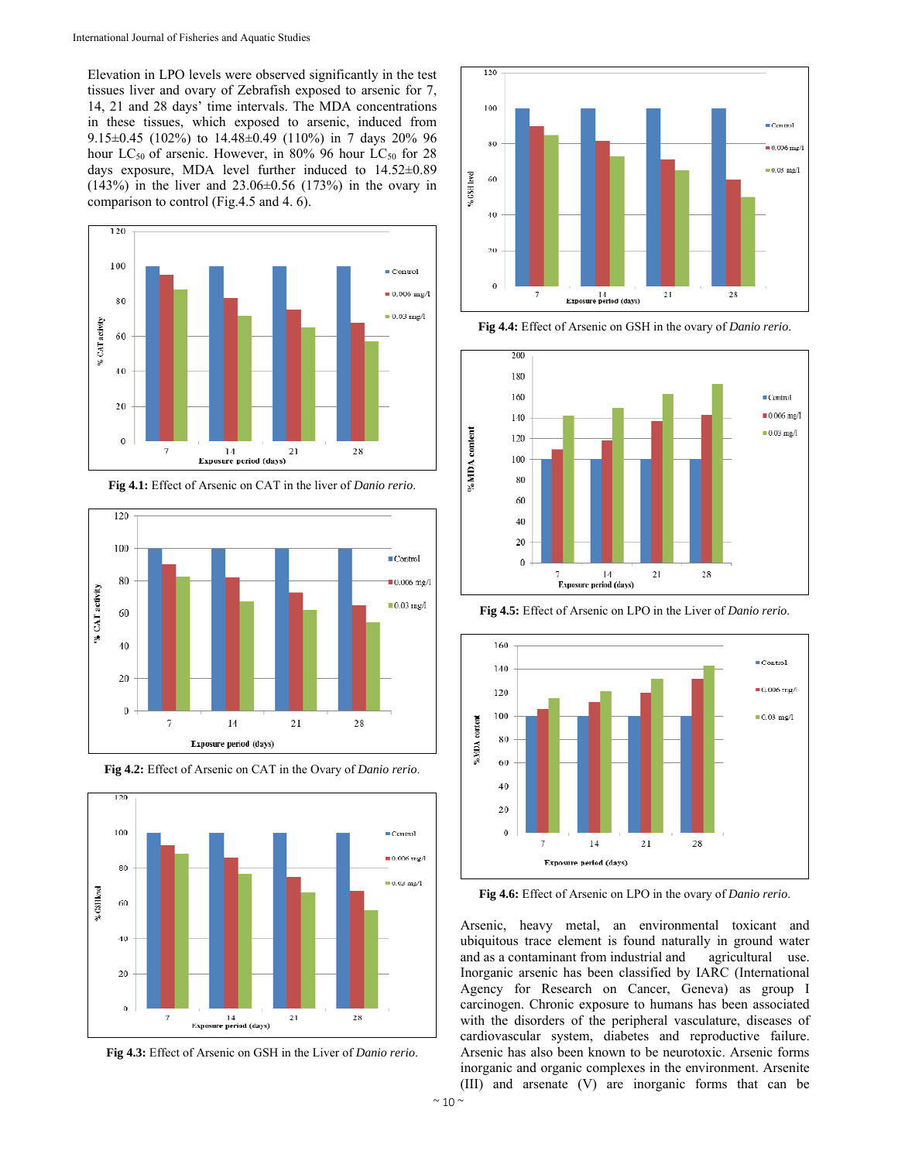Elevation in LPO levels were observed significantly in the test tissues liver and ovary of Zebrafish exposed to arsenic for 7, 14, 21 and 28 days' time intervals. The MDA concentrations in these tissues, which exposed to arsenic, induced from 9.15±0.45 (102%) to 14.48±0.49 (110%) in 7 days 20% 96 hour  $LC_{50}$  of arsenic. However, in 80% 96 hour  $LC_{50}$  for 28 days exposure, MDA level further induced to 14.52±0.89 (143%) in the liver and 23.06±0.56 (173%) in the ovary in comparison to control (Fig.4.5 and 4. 6).





**Fig 4.2:** Effect of Arsenic on CAT in the Ovary of *Danio rerio*.



**Fig 4.3:** Effect of Arsenic on GSH in the Liver of *Danio rerio*.



**Fig 4.4:** Effect of Arsenic on GSH in the ovary of *Danio rerio*.



**Fig 4.5:** Effect of Arsenic on LPO in the Liver of *Danio rerio*.



**Fig 4.6:** Effect of Arsenic on LPO in the ovary of *Danio rerio*.

Arsenic, heavy metal, an environmental toxicant and ubiquitous trace element is found naturally in ground water and as a contaminant from industrial and agricultural use. Inorganic arsenic has been classified by IARC (International Agency for Research on Cancer, Geneva) as group I carcinogen. Chronic exposure to humans has been associated with the disorders of the peripheral vasculature, diseases of cardiovascular system, diabetes and reproductive failure. Arsenic has also been known to be neurotoxic. Arsenic forms inorganic and organic complexes in the environment. Arsenite (III) and arsenate (V) are inorganic forms that can be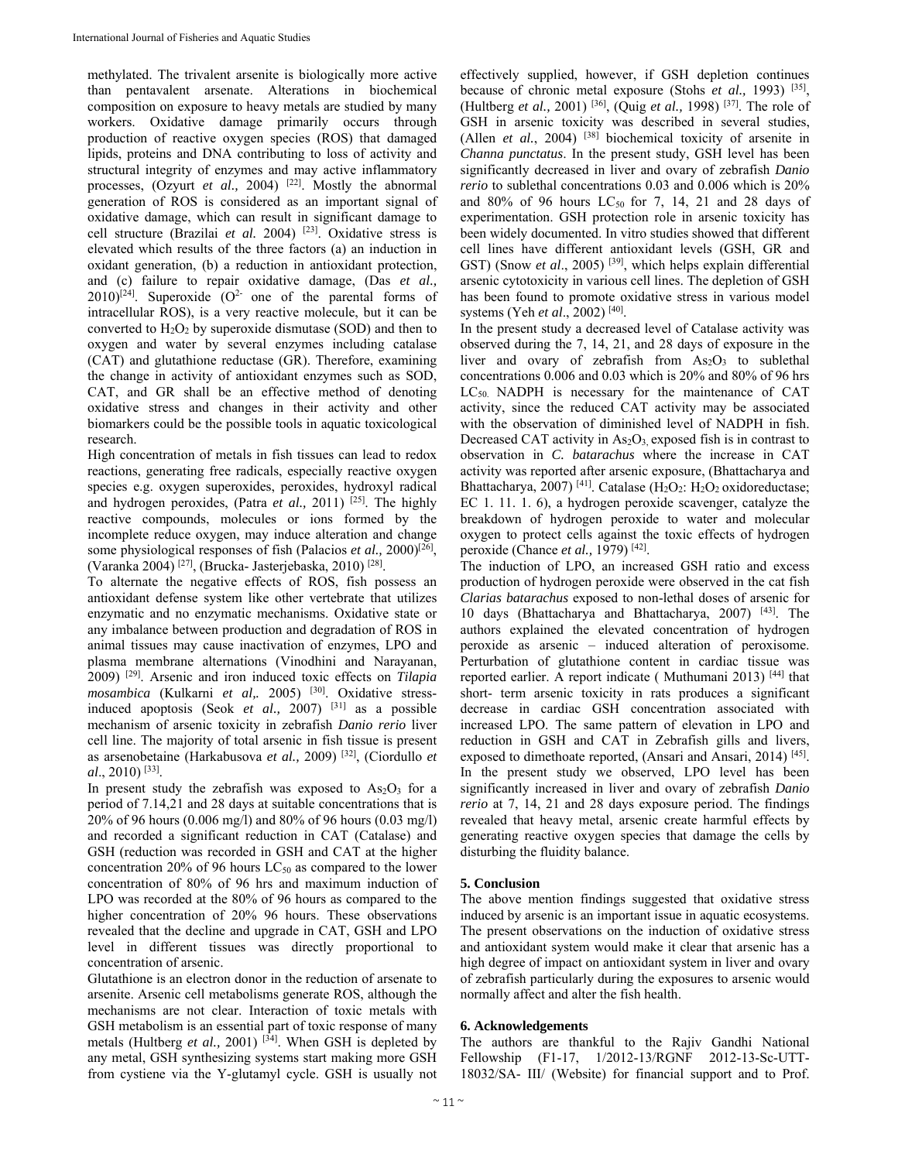methylated. The trivalent arsenite is biologically more active than pentavalent arsenate. Alterations in biochemical composition on exposure to heavy metals are studied by many workers. Oxidative damage primarily occurs through production of reactive oxygen species (ROS) that damaged lipids, proteins and DNA contributing to loss of activity and structural integrity of enzymes and may active inflammatory processes, (Ozyurt *et al.*, 2004)<sup>[22]</sup>. Mostly the abnormal generation of ROS is considered as an important signal of oxidative damage, which can result in significant damage to cell structure (Brazilai *et al.* 2004) [23]. Oxidative stress is elevated which results of the three factors (a) an induction in oxidant generation, (b) a reduction in antioxidant protection, and (c) failure to repair oxidative damage, (Das *et al.,*  $2010$ <sup>[24]</sup>. Superoxide (O<sup>2-</sup> one of the parental forms of intracellular ROS), is a very reactive molecule, but it can be converted to  $H_2O_2$  by superoxide dismutase (SOD) and then to oxygen and water by several enzymes including catalase (CAT) and glutathione reductase (GR). Therefore, examining the change in activity of antioxidant enzymes such as SOD, CAT, and GR shall be an effective method of denoting oxidative stress and changes in their activity and other biomarkers could be the possible tools in aquatic toxicological research.

High concentration of metals in fish tissues can lead to redox reactions, generating free radicals, especially reactive oxygen species e.g. oxygen superoxides, peroxides, hydroxyl radical and hydrogen peroxides, (Patra *et al.*, 2011)<sup>[25]</sup>. The highly reactive compounds, molecules or ions formed by the incomplete reduce oxygen, may induce alteration and change some physiological responses of fish (Palacios *et al.*, 2000)<sup>[26]</sup>, (Varanka 2004) [27], (Brucka- Jasterjebaska, 2010) [28].

To alternate the negative effects of ROS, fish possess an antioxidant defense system like other vertebrate that utilizes enzymatic and no enzymatic mechanisms. Oxidative state or any imbalance between production and degradation of ROS in animal tissues may cause inactivation of enzymes, LPO and plasma membrane alternations (Vinodhini and Narayanan, 2009) [29]. Arsenic and iron induced toxic effects on *Tilapia*  mosambica (Kulkarni et al,. 2005) <sup>[30]</sup>. Oxidative stressinduced apoptosis (Seok *et al.,* 2007) [31] as a possible mechanism of arsenic toxicity in zebrafish *Danio rerio* liver cell line. The majority of total arsenic in fish tissue is present as arsenobetaine (Harkabusova *et al.,* 2009) [32], (Ciordullo *et al*., 2010) [33].

In present study the zebrafish was exposed to  $As<sub>2</sub>O<sub>3</sub>$  for a period of 7.14,21 and 28 days at suitable concentrations that is 20% of 96 hours (0.006 mg/l) and 80% of 96 hours (0.03 mg/l) and recorded a significant reduction in CAT (Catalase) and GSH (reduction was recorded in GSH and CAT at the higher concentration 20% of 96 hours  $LC_{50}$  as compared to the lower concentration of 80% of 96 hrs and maximum induction of LPO was recorded at the 80% of 96 hours as compared to the higher concentration of 20% 96 hours. These observations revealed that the decline and upgrade in CAT, GSH and LPO level in different tissues was directly proportional to concentration of arsenic.

Glutathione is an electron donor in the reduction of arsenate to arsenite. Arsenic cell metabolisms generate ROS, although the mechanisms are not clear. Interaction of toxic metals with GSH metabolism is an essential part of toxic response of many metals (Hultberg *et al.*, 2001) <sup>[34]</sup>. When GSH is depleted by any metal, GSH synthesizing systems start making more GSH from cystiene via the Y-glutamyl cycle. GSH is usually not

effectively supplied, however, if GSH depletion continues because of chronic metal exposure (Stohs *et al.,* 1993) [35], (Hultberg *et al.,* 2001) [36], (Quig *et al.,* 1998) [37]. The role of GSH in arsenic toxicity was described in several studies, (Allen *et al.*, 2004) [38] biochemical toxicity of arsenite in *Channa punctatus*. In the present study, GSH level has been significantly decreased in liver and ovary of zebrafish *Danio rerio* to sublethal concentrations 0.03 and 0.006 which is 20% and  $80\%$  of 96 hours LC<sub>50</sub> for 7, 14, 21 and 28 days of experimentation. GSH protection role in arsenic toxicity has been widely documented. In vitro studies showed that different cell lines have different antioxidant levels (GSH, GR and GST) (Snow *et al.*, 2005)<sup>[39]</sup>, which helps explain differential arsenic cytotoxicity in various cell lines. The depletion of GSH has been found to promote oxidative stress in various model systems (Yeh *et al*., 2002) [40].

In the present study a decreased level of Catalase activity was observed during the 7, 14, 21, and 28 days of exposure in the liver and ovary of zebrafish from  $As_2O_3$  to sublethal concentrations 0.006 and 0.03 which is 20% and 80% of 96 hrs  $LC_{50}$ . NADPH is necessary for the maintenance of CAT activity, since the reduced CAT activity may be associated with the observation of diminished level of NADPH in fish. Decreased CAT activity in  $As<sub>2</sub>O<sub>3</sub>$ , exposed fish is in contrast to observation in *C. batarachus* where the increase in CAT activity was reported after arsenic exposure, (Bhattacharya and Bhattacharya, 2007)<sup>[41]</sup>. Catalase (H<sub>2</sub>O<sub>2</sub>: H<sub>2</sub>O<sub>2</sub> oxidoreductase; EC 1. 11. 1. 6), a hydrogen peroxide scavenger, catalyze the breakdown of hydrogen peroxide to water and molecular oxygen to protect cells against the toxic effects of hydrogen peroxide (Chance *et al.,* 1979) [42].

The induction of LPO, an increased GSH ratio and excess production of hydrogen peroxide were observed in the cat fish *Clarias batarachus* exposed to non-lethal doses of arsenic for 10 days (Bhattacharya and Bhattacharya, 2007) [43]. The authors explained the elevated concentration of hydrogen peroxide as arsenic – induced alteration of peroxisome. Perturbation of glutathione content in cardiac tissue was reported earlier. A report indicate (Muthumani 2013)<sup>[44]</sup> that short- term arsenic toxicity in rats produces a significant decrease in cardiac GSH concentration associated with increased LPO. The same pattern of elevation in LPO and reduction in GSH and CAT in Zebrafish gills and livers, exposed to dimethoate reported, (Ansari and Ansari, 2014)<sup>[45]</sup>. In the present study we observed, LPO level has been significantly increased in liver and ovary of zebrafish *Danio rerio* at 7, 14, 21 and 28 days exposure period. The findings revealed that heavy metal, arsenic create harmful effects by generating reactive oxygen species that damage the cells by disturbing the fluidity balance.

# **5. Conclusion**

The above mention findings suggested that oxidative stress induced by arsenic is an important issue in aquatic ecosystems. The present observations on the induction of oxidative stress and antioxidant system would make it clear that arsenic has a high degree of impact on antioxidant system in liver and ovary of zebrafish particularly during the exposures to arsenic would normally affect and alter the fish health.

## **6. Acknowledgements**

The authors are thankful to the Rajiv Gandhi National Fellowship (F1-17, 1/2012-13/RGNF 2012-13-Sc-UTT-18032/SA- III/ (Website) for financial support and to Prof.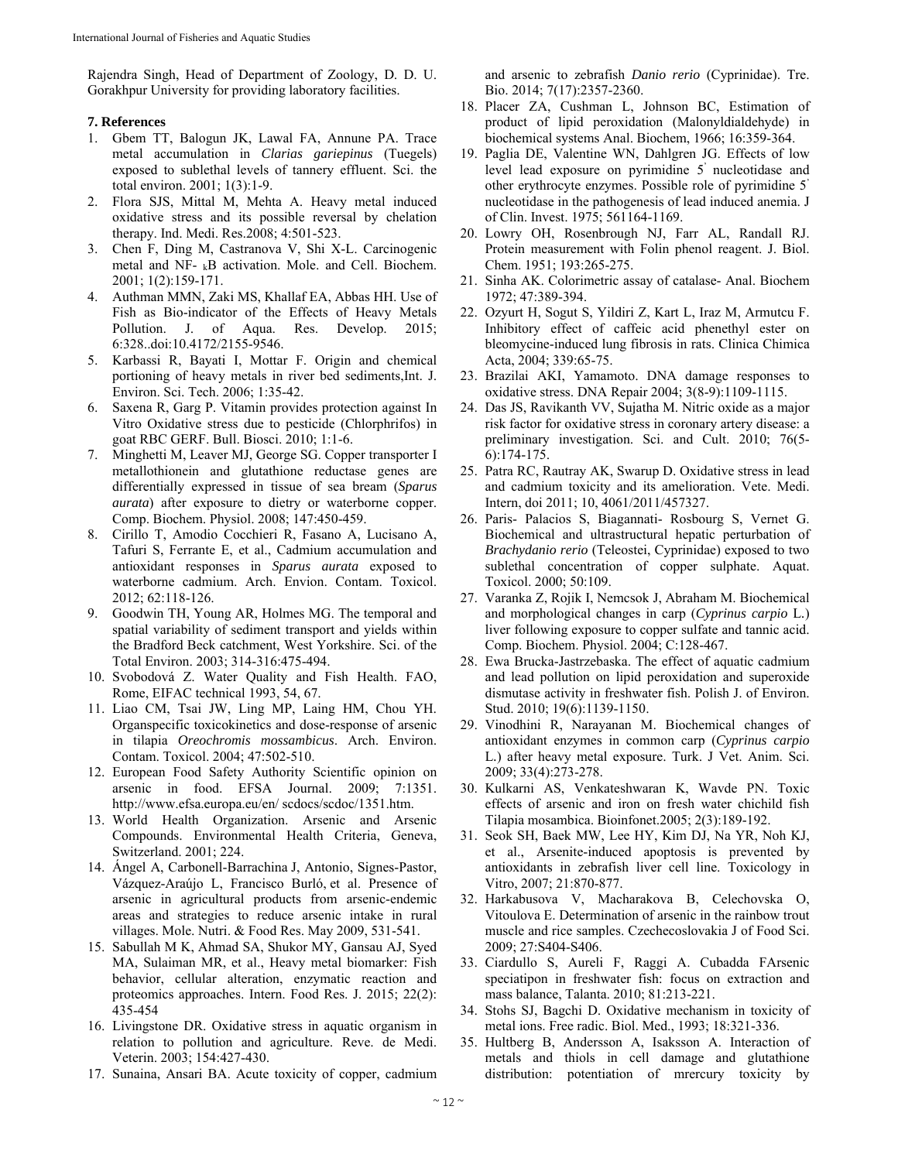Rajendra Singh, Head of Department of Zoology, D. D. U. Gorakhpur University for providing laboratory facilities.

# **7. References**

- 1. Gbem TT, Balogun JK, Lawal FA, Annune PA. Trace metal accumulation in *Clarias gariepinus* (Tuegels) exposed to sublethal levels of tannery effluent. Sci. the total environ. 2001; 1(3):1-9.
- 2. Flora SJS, Mittal M, Mehta A. Heavy metal induced oxidative stress and its possible reversal by chelation therapy. Ind. Medi. Res.2008; 4:501-523.
- 3. Chen F, Ding M, Castranova V, Shi X-L. Carcinogenic metal and NF- $_k$ B activation. Mole. and Cell. Biochem. 2001; 1(2):159-171.
- 4. Authman MMN, Zaki MS, Khallaf EA, Abbas HH. Use of Fish as Bio-indicator of the Effects of Heavy Metals Pollution. J. of Aqua. Res. Develop. 2015; 6:328..doi:10.4172/2155-9546.
- 5. Karbassi R, Bayati I, Mottar F. Origin and chemical portioning of heavy metals in river bed sediments,Int. J. Environ. Sci. Tech. 2006; 1:35-42.
- 6. Saxena R, Garg P. Vitamin provides protection against In Vitro Oxidative stress due to pesticide (Chlorphrifos) in goat RBC GERF. Bull. Biosci. 2010; 1:1-6.
- 7. Minghetti M, Leaver MJ, George SG. Copper transporter I metallothionein and glutathione reductase genes are differentially expressed in tissue of sea bream (*Sparus aurata*) after exposure to dietry or waterborne copper. Comp. Biochem. Physiol. 2008; 147:450-459.
- 8. Cirillo T, Amodio Cocchieri R, Fasano A, Lucisano A, Tafuri S, Ferrante E, et al., Cadmium accumulation and antioxidant responses in *Sparus aurata* exposed to waterborne cadmium. Arch. Envion. Contam. Toxicol. 2012; 62:118-126.
- 9. Goodwin TH, Young AR, Holmes MG. The temporal and spatial variability of sediment transport and yields within the Bradford Beck catchment, West Yorkshire. Sci. of the Total Environ. 2003; 314-316:475-494.
- 10. Svobodová Z. Water Quality and Fish Health. FAO, Rome, EIFAC technical 1993, 54, 67.
- 11. Liao CM, Tsai JW, Ling MP, Laing HM, Chou YH. Organspecific toxicokinetics and dose-response of arsenic in tilapia *Oreochromis mossambicus*. Arch. Environ. Contam. Toxicol. 2004; 47:502-510.
- 12. European Food Safety Authority Scientific opinion on arsenic in food. EFSA Journal. 2009; 7:1351. http://www.efsa.europa.eu/en/ scdocs/scdoc/1351.htm.
- 13. World Health Organization. Arsenic and Arsenic Compounds. Environmental Health Criteria, Geneva, Switzerland. 2001; 224.
- 14. Ángel A, Carbonell-Barrachina J, Antonio, Signes-Pastor, Vázquez-Araújo L, Francisco Burló, et al. Presence of arsenic in agricultural products from arsenic-endemic areas and strategies to reduce arsenic intake in rural villages. Mole. Nutri. & Food Res. May 2009, 531-541.
- 15. Sabullah M K, Ahmad SA, Shukor MY, Gansau AJ, Syed MA, Sulaiman MR, et al., Heavy metal biomarker: Fish behavior, cellular alteration, enzymatic reaction and proteomics approaches. Intern. Food Res. J. 2015; 22(2): 435-454
- 16. Livingstone DR. Oxidative stress in aquatic organism in relation to pollution and agriculture. Reve. de Medi. Veterin. 2003; 154:427-430.
- 17. Sunaina, Ansari BA. Acute toxicity of copper, cadmium

and arsenic to zebrafish *Danio rerio* (Cyprinidae). Tre. Bio. 2014; 7(17):2357-2360.

- 18. Placer ZA, Cushman L, Johnson BC, Estimation of product of lipid peroxidation (Malonyldialdehyde) in biochemical systems Anal. Biochem, 1966; 16:359-364.
- 19. Paglia DE, Valentine WN, Dahlgren JG. Effects of low level lead exposure on pyrimidine 5' nucleotidase and other erythrocyte enzymes. Possible role of pyrimidine 5' nucleotidase in the pathogenesis of lead induced anemia. J of Clin. Invest. 1975; 561164-1169.
- 20. Lowry OH, Rosenbrough NJ, Farr AL, Randall RJ. Protein measurement with Folin phenol reagent. J. Biol. Chem. 1951; 193:265-275.
- 21. Sinha AK. Colorimetric assay of catalase- Anal. Biochem 1972; 47:389-394.
- 22. Ozyurt H, Sogut S, Yildiri Z, Kart L, Iraz M, Armutcu F. Inhibitory effect of caffeic acid phenethyl ester on bleomycine-induced lung fibrosis in rats. Clinica Chimica Acta, 2004; 339:65-75.
- 23. Brazilai AKI, Yamamoto. DNA damage responses to oxidative stress. DNA Repair 2004; 3(8-9):1109-1115.
- 24. Das JS, Ravikanth VV, Sujatha M. Nitric oxide as a major risk factor for oxidative stress in coronary artery disease: a preliminary investigation. Sci. and Cult. 2010; 76(5- 6):174-175.
- 25. Patra RC, Rautray AK, Swarup D. Oxidative stress in lead and cadmium toxicity and its amelioration. Vete. Medi. Intern, doi 2011; 10, 4061/2011/457327.
- 26. Paris- Palacios S, Biagannati- Rosbourg S, Vernet G. Biochemical and ultrastructural hepatic perturbation of *Brachydanio rerio* (Teleostei, Cyprinidae) exposed to two sublethal concentration of copper sulphate. Aquat. Toxicol. 2000; 50:109.
- 27. Varanka Z, Rojik I, Nemcsok J, Abraham M. Biochemical and morphological changes in carp (*Cyprinus carpio* L*.*) liver following exposure to copper sulfate and tannic acid. Comp. Biochem. Physiol. 2004; C:128-467.
- 28. Ewa Brucka-Jastrzebaska. The effect of aquatic cadmium and lead pollution on lipid peroxidation and superoxide dismutase activity in freshwater fish. Polish J. of Environ. Stud. 2010; 19(6):1139-1150.
- 29. Vinodhini R, Narayanan M. Biochemical changes of antioxidant enzymes in common carp (*Cyprinus carpio*  L*.*) after heavy metal exposure. Turk. J Vet. Anim. Sci. 2009; 33(4):273-278.
- 30. Kulkarni AS, Venkateshwaran K, Wavde PN. Toxic effects of arsenic and iron on fresh water chichild fish Tilapia mosambica. Bioinfonet.2005; 2(3):189-192.
- 31. Seok SH, Baek MW, Lee HY, Kim DJ, Na YR, Noh KJ, et al., Arsenite-induced apoptosis is prevented by antioxidants in zebrafish liver cell line. Toxicology in Vitro, 2007; 21:870-877.
- 32. Harkabusova V, Macharakova B, Celechovska O, Vitoulova E. Determination of arsenic in the rainbow trout muscle and rice samples. Czechecoslovakia J of Food Sci. 2009; 27:S404-S406.
- 33. Ciardullo S, Aureli F, Raggi A. Cubadda FArsenic speciatipon in freshwater fish: focus on extraction and mass balance, Talanta. 2010; 81:213-221.
- 34. Stohs SJ, Bagchi D. Oxidative mechanism in toxicity of metal ions. Free radic. Biol. Med., 1993; 18:321-336.
- 35. Hultberg B, Andersson A, Isaksson A. Interaction of metals and thiols in cell damage and glutathione distribution: potentiation of mrercury toxicity by